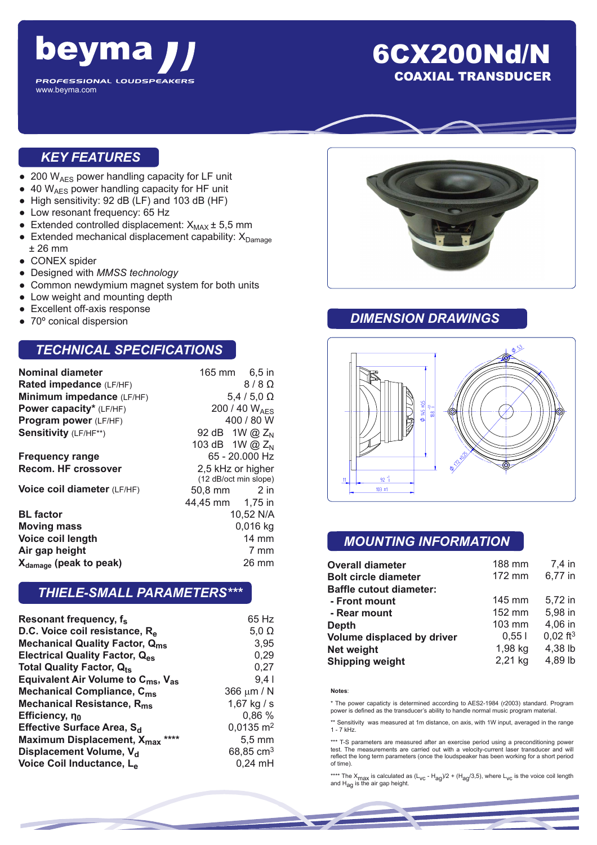

## 6CX200Nd/N COAXIAL TRANSDUCER

#### *KEY FEATURES*

- $\bullet$  200 W<sub>AES</sub> power handling capacity for LF unit
- 40 W<sub>AES</sub> power handling capacity for HF unit
- High sensitivity: 92 dB (LF) and 103 dB (HF)
- Low resonant frequency: 65 Hz
- Extended controlled displacement:  $X_{MAX}$   $\pm$  5,5 mm
- **•** Extended mechanical displacement capability:  $X_{Damaa}$ ± 26 mm
- CONEX spider
- Designed with *MMSS technology*
- Common newdymium magnet system for both units
- Low weight and mounting depth
- **Excellent off-axis response**
- 70° conical dispersion

#### *TECHNICAL SPECIFICATIONS*

| <b>Nominal diameter</b>            |                       | 165 mm 6,5 in    |  |
|------------------------------------|-----------------------|------------------|--|
| Rated impedance (LF/HF)            |                       | $8/8$ $\Omega$   |  |
| Minimum impedance (LF/HF)          |                       | $5.4/5.0 \Omega$ |  |
| Power capacity* (LF/HF)            | 200 / 40 $W_{AFS}$    |                  |  |
| Program power (LF/HF)              | 400 / 80 W            |                  |  |
| <b>Sensitivity (LF/HF**)</b>       | 92 dB 1W @ $Z_{N}$    |                  |  |
|                                    | 103 dB 1W @ $Z_{N}$   |                  |  |
| <b>Frequency range</b>             | 65 - 20.000 Hz        |                  |  |
| <b>Recom. HF crossover</b>         | 2,5 kHz or higher     |                  |  |
|                                    | (12 dB/oct min slope) |                  |  |
| Voice coil diameter (LF/HF)        | 50,8 mm 2 in          |                  |  |
|                                    | 44,45 mm 1,75 in      |                  |  |
| <b>BL</b> factor                   | 10,52 N/A             |                  |  |
| <b>Moving mass</b>                 | $0,016$ kg            |                  |  |
| Voice coil length                  | <b>14 mm</b>          |                  |  |
| Air gap height                     |                       | 7 mm             |  |
| X <sub>damage</sub> (peak to peak) | 26 mm                 |                  |  |

#### *THIELE-SMALL PARAMETERS\*\*\**

| 65 Hz                |
|----------------------|
|                      |
| $5,0 \Omega$         |
| 3,95                 |
| 0,29                 |
| 0,27                 |
| 9,4                  |
| 366 µm / N           |
| 1,67 kg / s          |
| 0,86 %               |
| $0,0135 \text{ m}^2$ |
| $5,5$ mm             |
| 68,85 $cm3$          |
| $0,24$ mH            |
|                      |



#### *DIMENSION DRAWINGS*



### *MOUNTING INFORMATION*

| <b>Overall diameter</b>        | 188 mm  | 7,4 in                 |
|--------------------------------|---------|------------------------|
| <b>Bolt circle diameter</b>    | 172 mm  | 6,77 in                |
| <b>Baffle cutout diameter:</b> |         |                        |
| - Front mount                  | 145 mm  | 5.72 in                |
| - Rear mount                   | 152 mm  | 5,98 in                |
| Depth                          | 103 mm  | 4,06 in                |
| Volume displaced by driver     | 0.551   | $0,02$ ft <sup>3</sup> |
| <b>Net weight</b>              | 1,98 kg | 4,38 lb                |
| <b>Shipping weight</b>         | 2,21 kg | 4,89 lb                |

#### **Notes**:

\* The power capaticty is determined according to AES2-1984 (r2003) standard. Program power is defined as the transducer's ability to handle normal music program material.

\*\* Sensitivity was measured at 1m distance, on axis, with 1W input, averaged in the range 1 - 7 kHz.

\*\*\* T-S parameters are measured after an exercise period using a preconditioning power test. The measurements are carried out with a velocity-current laser transducer and will reflect the long term parameters (once the loudspeaker has been working for a short period of time).

\*\*\*\* The X<sub>max</sub> is calculated as (L<sub>VC</sub> - H<sub>ag</sub>)/2 + (H<sub>ag</sub>/3,5), where L<sub>VC</sub> is the voice coil length<br>and H<sub>ag</sub> is the air gap height.